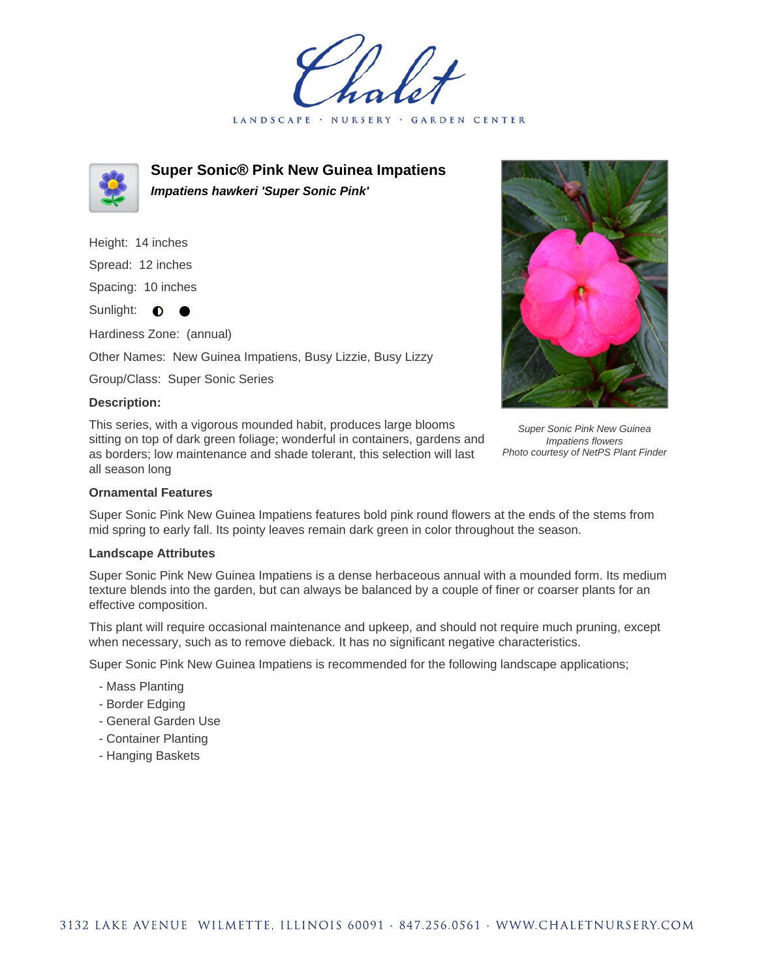LANDSCAPE · NURSERY **GARDEN CENTER** 



**Super Sonic® Pink New Guinea Impatiens Impatiens hawkeri 'Super Sonic Pink'**

Height: 14 inches

Spread: 12 inches

Spacing: 10 inches

Sunlight: **0** 

Hardiness Zone: (annual)

Other Names: New Guinea Impatiens, Busy Lizzie, Busy Lizzy

Group/Class: Super Sonic Series

## **Description:**

This series, with a vigorous mounded habit, produces large blooms sitting on top of dark green foliage; wonderful in containers, gardens and as borders; low maintenance and shade tolerant, this selection will last all season long



Super Sonic Pink New Guinea Impatiens flowers Photo courtesy of NetPS Plant Finder

## **Ornamental Features**

Super Sonic Pink New Guinea Impatiens features bold pink round flowers at the ends of the stems from mid spring to early fall. Its pointy leaves remain dark green in color throughout the season.

## **Landscape Attributes**

Super Sonic Pink New Guinea Impatiens is a dense herbaceous annual with a mounded form. Its medium texture blends into the garden, but can always be balanced by a couple of finer or coarser plants for an effective composition.

This plant will require occasional maintenance and upkeep, and should not require much pruning, except when necessary, such as to remove dieback. It has no significant negative characteristics.

Super Sonic Pink New Guinea Impatiens is recommended for the following landscape applications;

- Mass Planting
- Border Edging
- General Garden Use
- Container Planting
- Hanging Baskets